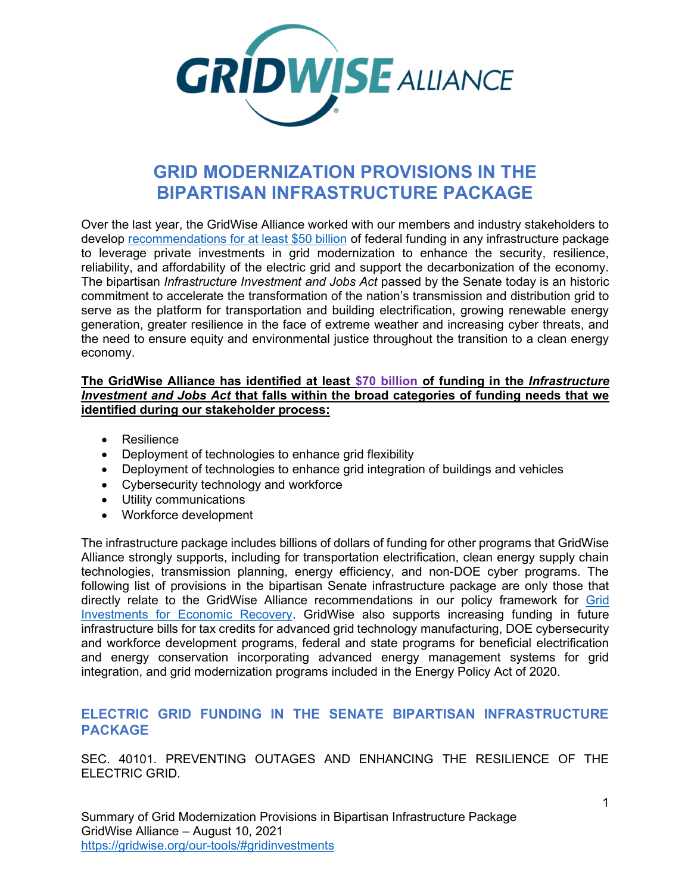

# GRID MODERNIZATION PROVISIONS IN THE BIPARTISAN INFRASTRUCTURE PACKAGE

Over the last year, the GridWise Alliance worked with our members and industry stakeholders to develop recommendations for at least \$50 billion of federal funding in any infrastructure package to leverage private investments in grid modernization to enhance the security, resilience, reliability, and affordability of the electric grid and support the decarbonization of the economy. The bipartisan *Infrastructure Investment and Jobs Act* passed by the Senate today is an historic commitment to accelerate the transformation of the nation's transmission and distribution grid to serve as the platform for transportation and building electrification, growing renewable energy generation, greater resilience in the face of extreme weather and increasing cyber threats, and the need to ensure equity and environmental justice throughout the transition to a clean energy economy.

#### The GridWise Alliance has identified at least \$70 billion of funding in the *Infrastructure* Investment and Jobs Act that falls within the broad categories of funding needs that we identified during our stakeholder process:

- Resilience
- Deployment of technologies to enhance grid flexibility
- Deployment of technologies to enhance grid integration of buildings and vehicles
- Cybersecurity technology and workforce
- Utility communications
- Workforce development

The infrastructure package includes billions of dollars of funding for other programs that GridWise Alliance strongly supports, including for transportation electrification, clean energy supply chain technologies, transmission planning, energy efficiency, and non-DOE cyber programs. The following list of provisions in the bipartisan Senate infrastructure package are only those that directly relate to the GridWise Alliance recommendations in our policy framework for Grid Investments for Economic Recovery. GridWise also supports increasing funding in future infrastructure bills for tax credits for advanced grid technology manufacturing, DOE cybersecurity and workforce development programs, federal and state programs for beneficial electrification and energy conservation incorporating advanced energy management systems for grid integration, and grid modernization programs included in the Energy Policy Act of 2020.

## ELECTRIC GRID FUNDING IN THE SENATE BIPARTISAN INFRASTRUCTURE PACKAGE

SEC. 40101. PREVENTING OUTAGES AND ENHANCING THE RESILIENCE OF THE ELECTRIC GRID.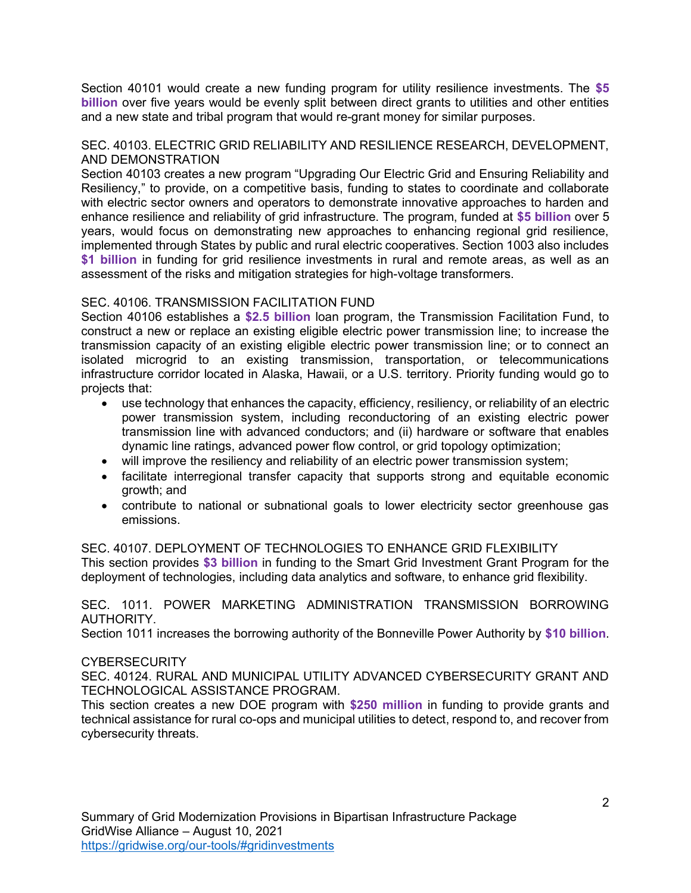Section 40101 would create a new funding program for utility resilience investments. The \$5 billion over five years would be evenly split between direct grants to utilities and other entities and a new state and tribal program that would re-grant money for similar purposes.

#### SEC. 40103. ELECTRIC GRID RELIABILITY AND RESILIENCE RESEARCH, DEVELOPMENT, AND DEMONSTRATION

Section 40103 creates a new program "Upgrading Our Electric Grid and Ensuring Reliability and Resiliency," to provide, on a competitive basis, funding to states to coordinate and collaborate with electric sector owners and operators to demonstrate innovative approaches to harden and enhance resilience and reliability of grid infrastructure. The program, funded at \$5 billion over 5 years, would focus on demonstrating new approaches to enhancing regional grid resilience, implemented through States by public and rural electric cooperatives. Section 1003 also includes \$1 billion in funding for grid resilience investments in rural and remote areas, as well as an assessment of the risks and mitigation strategies for high-voltage transformers.

### SEC. 40106. TRANSMISSION FACILITATION FUND

Section 40106 establishes a \$2.5 billion loan program, the Transmission Facilitation Fund, to construct a new or replace an existing eligible electric power transmission line; to increase the transmission capacity of an existing eligible electric power transmission line; or to connect an isolated microgrid to an existing transmission, transportation, or telecommunications infrastructure corridor located in Alaska, Hawaii, or a U.S. territory. Priority funding would go to projects that:

- use technology that enhances the capacity, efficiency, resiliency, or reliability of an electric power transmission system, including reconductoring of an existing electric power transmission line with advanced conductors; and (ii) hardware or software that enables dynamic line ratings, advanced power flow control, or grid topology optimization;
- will improve the resiliency and reliability of an electric power transmission system;
- facilitate interregional transfer capacity that supports strong and equitable economic growth; and
- contribute to national or subnational goals to lower electricity sector greenhouse gas emissions.

SEC. 40107. DEPLOYMENT OF TECHNOLOGIES TO ENHANCE GRID FLEXIBILITY This section provides \$3 billion in funding to the Smart Grid Investment Grant Program for the deployment of technologies, including data analytics and software, to enhance grid flexibility.

### SEC. 1011. POWER MARKETING ADMINISTRATION TRANSMISSION BORROWING AUTHORITY.

Section 1011 increases the borrowing authority of the Bonneville Power Authority by \$10 billion.

### **CYBERSECURITY**

SEC. 40124. RURAL AND MUNICIPAL UTILITY ADVANCED CYBERSECURITY GRANT AND TECHNOLOGICAL ASSISTANCE PROGRAM.

This section creates a new DOE program with \$250 million in funding to provide grants and technical assistance for rural co-ops and municipal utilities to detect, respond to, and recover from cybersecurity threats.